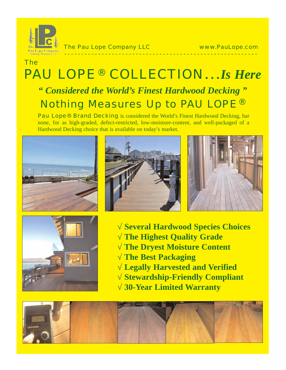

The Pau Lope Company LLC www.PauLope.com

## PAU LOPE ® COLLECTION…*Is Here " Considered the World's Finest Hardwood Decking "* Nothing Measures Up to PAU LOPE<sup>®</sup> The

**- - - - - - - - - - - - - - - - - - - - - - - - - - - - - - - - - - - - - - - - - - - - - - - - - - - - - - - - -**

Pau Lope® Brand Decking is considered the World's Finest Hardwood Decking, bar none, for as high-graded, defect-restricted, low-moisture-content, and well-packaged of a Hardwood Decking choice that is available on today's market.







**Several Hardwood Species Choices The Highest Quality Grade The Dryest Moisture Content The Best Packaging √ Legally Harvested and Verified Stewardship-Friendly Compliant 30-Year Limited Warranty**